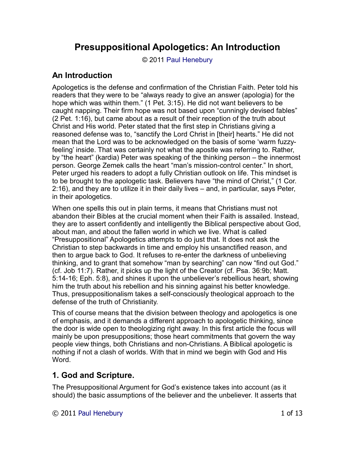# **Presuppositional Apologetics: An Introduction**

© 2011 [Paul Henebury](http://www.spiritandtruth.org/id/ph.htm)

## **An Introduction**

Apologetics is the defense and confirmation of the Christian Faith. Peter told his readers that they were to be "always ready to give an answer (apologia) for the hope which was within them." (1 Pet. 3:15). He did not want believers to be caught napping. Their firm hope was not based upon "cunningly devised fables" (2 Pet. 1:16), but came about as a result of their reception of the truth about Christ and His world. Peter stated that the first step in Christians giving a reasoned defense was to, "sanctify the Lord Christ in [their] hearts." He did not mean that the Lord was to be acknowledged on the basis of some 'warm fuzzyfeeling' inside. That was certainly not what the apostle was referring to. Rather, by "the heart" (kardia) Peter was speaking of the thinking person – the innermost person. George Zemek calls the heart "man's mission-control center." In short, Peter urged his readers to adopt a fully Christian outlook on life. This mindset is to be brought to the apologetic task. Believers have "the mind of Christ," (1 Cor. 2:16), and they are to utilize it in their daily lives – and, in particular, says Peter, in their apologetics.

When one spells this out in plain terms, it means that Christians must not abandon their Bibles at the crucial moment when their Faith is assailed. Instead, they are to assert confidently and intelligently the Biblical perspective about God, about man, and about the fallen world in which we live. What is called "Presuppositional" Apologetics attempts to do just that. It does not ask the Christian to step backwards in time and employ his unsanctified reason, and then to argue back to God. It refuses to re-enter the darkness of unbelieving thinking, and to grant that somehow "man by searching" can now "find out God." (cf. Job 11:7). Rather, it picks up the light of the Creator (cf. Psa. 36:9b; Matt. 5:14-16; Eph. 5:8), and shines it upon the unbeliever's rebellious heart, showing him the truth about his rebellion and his sinning against his better knowledge. Thus, presuppositionalism takes a self-consciously theological approach to the defense of the truth of Christianity.

This of course means that the division between theology and apologetics is one of emphasis, and it demands a different approach to apologetic thinking, since the door is wide open to theologizing right away. In this first article the focus will mainly be upon presuppositions; those heart commitments that govern the way people view things, both Christians and non-Christians. A Biblical apologetic is nothing if not a clash of worlds. With that in mind we begin with God and His Word.

# **1. God and Scripture.**

The Presuppositional Argument for God's existence takes into account (as it should) the basic assumptions of the believer and the unbeliever. It asserts that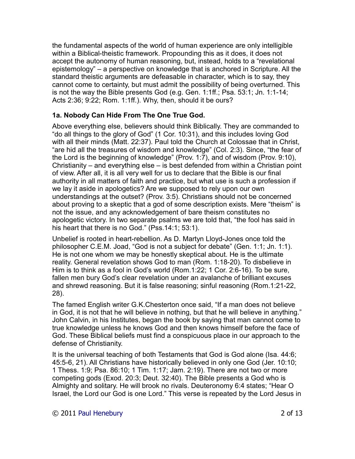the fundamental aspects of the world of human experience are only intelligible within a Biblical-theistic framework. Propounding this as it does, it does not accept the autonomy of human reasoning, but, instead, holds to a "revelational epistemology" – a perspective on knowledge that is anchored in Scripture. All the standard theistic arguments are defeasable in character, which is to say, they cannot come to certainty, but must admit the possibility of being overturned. This is not the way the Bible presents God (e.g. Gen. 1:1ff.; Psa. 53:1; Jn. 1:1-14; Acts 2:36; 9:22; Rom. 1:1ff.). Why, then, should it be ours?

### **1a. Nobody Can Hide From The One True God.**

Above everything else, believers should think Biblically. They are commanded to "do all things to the glory of God" (1 Cor. 10:31), and this includes loving God with all their minds (Matt. 22:37). Paul told the Church at Colossae that in Christ, "are hid all the treasures of wisdom and knowledge" (Col. 2:3). Since, "the fear of the Lord is the beginning of knowledge" (Prov. 1:7), and of wisdom (Prov. 9:10), Christianity – and everything else – is best defended from within a Christian point of view. After all, it is all very well for us to declare that the Bible is our final authority in all matters of faith and practice, but what use is such a profession if we lay it aside in apologetics? Are we supposed to rely upon our own understandings at the outset? (Prov. 3:5). Christians should not be concerned about proving to a skeptic that a god of some description exists. Mere "theism" is not the issue, and any acknowledgement of bare theism constitutes no apologetic victory. In two separate psalms we are told that, "the fool has said in his heart that there is no God." (Pss.14:1; 53:1).

Unbelief is rooted in heart-rebellion. As D. Martyn Lloyd-Jones once told the philosopher C.E.M. Joad, "God is not a subject for debate" (Gen. 1:1; Jn. 1:1). He is not one whom we may be honestly skeptical about. He is the ultimate reality. General revelation shows God to man (Rom. 1:18-20). To disbelieve in Him is to think as a fool in God's world (Rom.1:22; 1 Cor. 2:6-16). To be sure, fallen men bury God's clear revelation under an avalanche of brilliant excuses and shrewd reasoning. But it is false reasoning; sinful reasoning (Rom.1:21-22, 28).

The famed English writer G.K.Chesterton once said, "If a man does not believe in God, it is not that he will believe in nothing, but that he will believe in anything." John Calvin, in his Institutes, began the book by saying that man cannot come to true knowledge unless he knows God and then knows himself before the face of God. These Biblical beliefs must find a conspicuous place in our approach to the defense of Christianity.

It is the universal teaching of both Testaments that God is God alone (Isa. 44:6; 45:5-6, 21). All Christians have historically believed in only one God (Jer. 10:10; 1 Thess. 1:9; Psa. 86:10; 1 Tim. 1:17; Jam. 2:19). There are not two or more competing gods (Exod. 20:3; Deut. 32:40). The Bible presents a God who is Almighty and solitary. He will brook no rivals. Deuteronomy 6:4 states; "Hear O Israel, the Lord our God is one Lord." This verse is repeated by the Lord Jesus in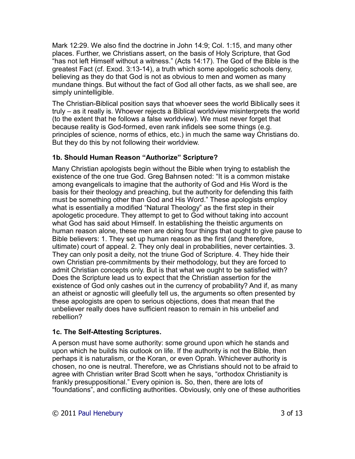Mark 12:29. We also find the doctrine in John 14:9; Col. 1:15, and many other places. Further, we Christians assert, on the basis of Holy Scripture, that God "has not left Himself without a witness." (Acts 14:17). The God of the Bible is the greatest Fact (cf. Exod. 3:13-14), a truth which some apologetic schools deny, believing as they do that God is not as obvious to men and women as many mundane things. But without the fact of God all other facts, as we shall see, are simply unintelligible.

The Christian-Biblical position says that whoever sees the world Biblically sees it truly – as it really is. Whoever rejects a Biblical worldview misinterprets the world (to the extent that he follows a false worldview). We must never forget that because reality is God-formed, even rank infidels see some things (e.g. principles of science, norms of ethics, etc.) in much the same way Christians do. But they do this by not following their worldview.

### **1b. Should Human Reason "Authorize" Scripture?**

Many Christian apologists begin without the Bible when trying to establish the existence of the one true God. Greg Bahnsen noted: "It is a common mistake among evangelicals to imagine that the authority of God and His Word is the basis for their theology and preaching, but the authority for defending this faith must be something other than God and His Word." These apologists employ what is essentially a modified "Natural Theology" as the first step in their apologetic procedure. They attempt to get to God without taking into account what God has said about Himself. In establishing the theistic arguments on human reason alone, these men are doing four things that ought to give pause to Bible believers: 1. They set up human reason as the first (and therefore, ultimate) court of appeal. 2. They only deal in probabilities, never certainties. 3. They can only posit a deity, not the triune God of Scripture. 4. They hide their own Christian pre-commitments by their methodology, but they are forced to admit Christian concepts only. But is that what we ought to be satisfied with? Does the Scripture lead us to expect that the Christian assertion for the existence of God only cashes out in the currency of probability? And if, as many an atheist or agnostic will gleefully tell us, the arguments so often presented by these apologists are open to serious objections, does that mean that the unbeliever really does have sufficient reason to remain in his unbelief and rebellion?

#### **1c. The Self-Attesting Scriptures.**

A person must have some authority: some ground upon which he stands and upon which he builds his outlook on life. If the authority is not the Bible, then perhaps it is naturalism, or the Koran, or even Oprah. Whichever authority is chosen, no one is neutral. Therefore, we as Christians should not to be afraid to agree with Christian writer Brad Scott when he says, "orthodox Christianity is frankly presuppositional." Every opinion is. So, then, there are lots of "foundations", and conflicting authorities. Obviously, only one of these authorities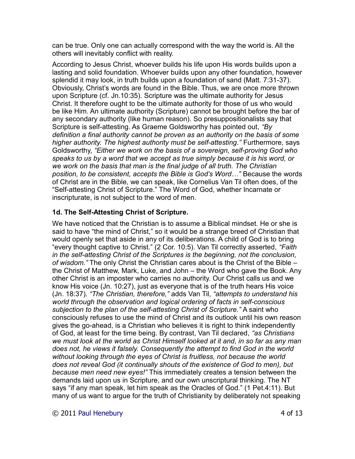can be true. Only one can actually correspond with the way the world is. All the others will inevitably conflict with reality.

According to Jesus Christ, whoever builds his life upon His words builds upon a lasting and solid foundation. Whoever builds upon any other foundation, however splendid it may look, in truth builds upon a foundation of sand (Matt. 7:31-37). Obviously, Christ's words are found in the Bible. Thus, we are once more thrown upon Scripture (cf. Jn.10:35). Scripture was the ultimate authority for Jesus Christ. It therefore ought to be the ultimate authority for those of us who would be like Him. An ultimate authority (Scripture) cannot be brought before the bar of any secondary authority (like human reason). So presuppositionalists say that Scripture is self-attesting. As Graeme Goldsworthy has pointed out, *"By definition a final authority cannot be proven as an authority on the basis of some higher authority. The highest authority must be self-attesting."* Furthermore, says Goldsworthy, *"Either we work on the basis of a sovereign, self-proving God who speaks to us by a word that we accept as true simply because it is his word, or we work on the basis that man is the final judge of all truth. The Christian position, to be consistent, accepts the Bible is God's Word…"* Because the words of Christ are in the Bible, we can speak, like Cornelius Van Til often does, of the "Self-attesting Christ of Scripture." The Word of God, whether Incarnate or inscripturate, is not subject to the word of men.

### **1d. The Self-Attesting Christ of Scripture.**

We have noticed that the Christian is to assume a Biblical mindset. He or she is said to have "the mind of Christ," so it would be a strange breed of Christian that would openly set that aside in any of its deliberations. A child of God is to bring "every thought captive to Christ." (2 Cor. 10:5). Van Til correctly asserted, *"Faith in the self-attesting Christ of the Scriptures is the beginning, not the conclusion, of wisdom."* The only Christ the Christian cares about is the Christ of the Bible – the Christ of Matthew, Mark, Luke, and John – the Word who gave the Book. Any other Christ is an imposter who carries no authority. Our Christ calls us and we know His voice (Jn. 10:27), just as everyone that is of the truth hears His voice (Jn. 18:37). *"The Christian, therefore,"* adds Van Til, *"attempts to understand his world through the observation and logical ordering of facts in self-conscious subjection to the plan of the self-attesting Christ of Scripture."* A saint who consciously refuses to use the mind of Christ and its outlook until his own reason gives the go-ahead, is a Christian who believes it is right to think independently of God, at least for the time being. By contrast, Van Til declared, *"as Christians we must look at the world as Christ Himself looked at it and, in so far as any man does not, he views it falsely. Consequently the attempt to find God in the world without looking through the eyes of Christ is fruitless, not because the world does not reveal God (it continually shouts of the existence of God to men), but because men need new eyes!"* This immediately creates a tension between the demands laid upon us in Scripture, and our own unscriptural thinking. The NT says "if any man speak, let him speak as the Oracles of God." (1 Pet.4:11). But many of us want to argue for the truth of Christianity by deliberately not speaking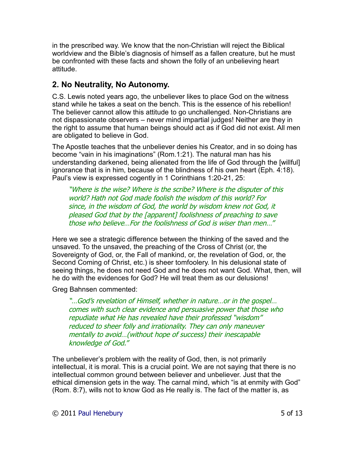in the prescribed way. We know that the non-Christian will reject the Biblical worldview and the Bible's diagnosis of himself as a fallen creature, but he must be confronted with these facts and shown the folly of an unbelieving heart attitude.

## **2. No Neutrality, No Autonomy.**

C.S. Lewis noted years ago, the unbeliever likes to place God on the witness stand while he takes a seat on the bench. This is the essence of his rebellion! The believer cannot allow this attitude to go unchallenged. Non-Christians are not dispassionate observers – never mind impartial judges! Neither are they in the right to assume that human beings should act as if God did not exist. All men are obligated to believe in God.

The Apostle teaches that the unbeliever denies his Creator, and in so doing has become "vain in his imaginations" (Rom.1:21). The natural man has his understanding darkened, being alienated from the life of God through the [willful] ignorance that is in him, because of the blindness of his own heart (Eph. 4:18). Paul's view is expressed cogently in 1 Corinthians 1:20-21, 25:

"Where is the wise? Where is the scribe? Where is the disputer of this world? Hath not God made foolish the wisdom of this world? For since, in the wisdom of God, the world by wisdom knew not God, it pleased God that by the [apparent] foolishness of preaching to save those who believe…For the foolishness of God is wiser than men…"

Here we see a strategic difference between the thinking of the saved and the unsaved. To the unsaved, the preaching of the Cross of Christ (or, the Sovereignty of God, or, the Fall of mankind, or, the revelation of God, or, the Second Coming of Christ, etc.) is sheer tomfoolery. In his delusional state of seeing things, he does not need God and he does not want God. What, then, will he do with the evidences for God? He will treat them as our delusions!

Greg Bahnsen commented:

"…God's revelation of Himself, whether in nature…or in the gospel… comes with such clear evidence and persuasive power that those who repudiate what He has revealed have their professed "wisdom" reduced to sheer folly and irrationality. They can only maneuver mentally to avoid…(without hope of success) their inescapable knowledge of God."

The unbeliever's problem with the reality of God, then, is not primarily intellectual, it is moral. This is a crucial point. We are not saying that there is no intellectual common ground between believer and unbeliever. Just that the ethical dimension gets in the way. The carnal mind, which "is at enmity with God" (Rom. 8:7), wills not to know God as He really is. The fact of the matter is, as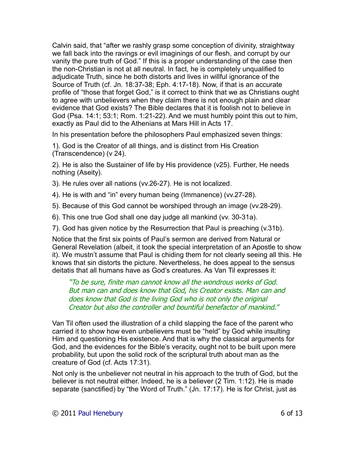Calvin said, that "after we rashly grasp some conception of divinity, straightway we fall back into the ravings or evil imaginings of our flesh, and corrupt by our vanity the pure truth of God." If this is a proper understanding of the case then the non-Christian is not at all neutral. In fact, he is completely unqualified to adjudicate Truth, since he both distorts and lives in willful ignorance of the Source of Truth (cf. Jn. 18:37-38; Eph. 4:17-18). Now, if that is an accurate profile of "those that forget God," is it correct to think that we as Christians ought to agree with unbelievers when they claim there is not enough plain and clear evidence that God exists? The Bible declares that it is foolish not to believe in God (Psa. 14:1; 53:1; Rom. 1:21-22). And we must humbly point this out to him, exactly as Paul did to the Athenians at Mars Hill in Acts 17.

In his presentation before the philosophers Paul emphasized seven things:

1). God is the Creator of all things, and is distinct from His Creation (Transcendence) (v 24).

2). He is also the Sustainer of life by His providence (v25). Further, He needs nothing (Aseity).

3). He rules over all nations (vv.26-27). He is not localized.

- 4). He is with and "in" every human being (Immanence) (vv.27-28).
- 5). Because of this God cannot be worshiped through an image (vv.28-29).
- 6). This one true God shall one day judge all mankind (vv. 30-31a).
- 7). God has given notice by the Resurrection that Paul is preaching (v.31b).

Notice that the first six points of Paul's sermon are derived from Natural or General Revelation (albeit, it took the special interpretation of an Apostle to show it). We mustn't assume that Paul is chiding them for not clearly seeing all this. He knows that sin distorts the picture. Nevertheless, he does appeal to the sensus deitatis that all humans have as God's creatures. As Van Til expresses it:

"To be sure, finite man cannot know all the wondrous works of God. But man can and does know that God, his Creator exists. Man can and does know that God is the living God who is not only the original Creator but also the controller and bountiful benefactor of mankind."

Van Til often used the illustration of a child slapping the face of the parent who carried it to show how even unbelievers must be "held" by God while insulting Him and questioning His existence. And that is why the classical arguments for God, and the evidences for the Bible's veracity, ought not to be built upon mere probability, but upon the solid rock of the scriptural truth about man as the creature of God (cf. Acts 17:31).

Not only is the unbeliever not neutral in his approach to the truth of God, but the believer is not neutral either. Indeed, he is a believer (2 Tim. 1:12). He is made separate (sanctified) by "the Word of Truth." (Jn. 17:17). He is for Christ, just as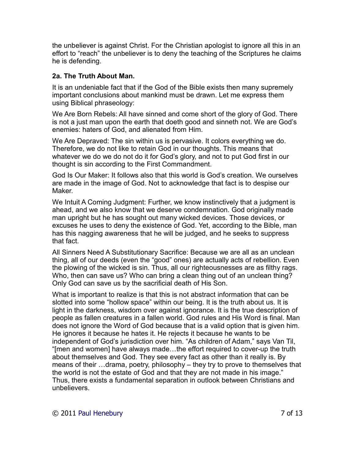the unbeliever is against Christ. For the Christian apologist to ignore all this in an effort to "reach" the unbeliever is to deny the teaching of the Scriptures he claims he is defending.

### **2a. The Truth About Man.**

It is an undeniable fact that if the God of the Bible exists then many supremely important conclusions about mankind must be drawn. Let me express them using Biblical phraseology:

We Are Born Rebels: All have sinned and come short of the glory of God. There is not a just man upon the earth that doeth good and sinneth not. We are God's enemies: haters of God, and alienated from Him.

We Are Depraved: The sin within us is pervasive. It colors everything we do. Therefore, we do not like to retain God in our thoughts. This means that whatever we do we do not do it for God's glory, and not to put God first in our thought is sin according to the First Commandment.

God Is Our Maker: It follows also that this world is God's creation. We ourselves are made in the image of God. Not to acknowledge that fact is to despise our Maker.

We Intuit A Coming Judgment: Further, we know instinctively that a judgment is ahead, and we also know that we deserve condemnation. God originally made man upright but he has sought out many wicked devices. Those devices, or excuses he uses to deny the existence of God. Yet, according to the Bible, man has this nagging awareness that he will be judged, and he seeks to suppress that fact.

All Sinners Need A Substitutionary Sacrifice: Because we are all as an unclean thing, all of our deeds (even the "good" ones) are actually acts of rebellion. Even the plowing of the wicked is sin. Thus, all our righteousnesses are as filthy rags. Who, then can save us? Who can bring a clean thing out of an unclean thing? Only God can save us by the sacrificial death of His Son.

What is important to realize is that this is not abstract information that can be slotted into some "hollow space" within our being. It is the truth about us. It is light in the darkness, wisdom over against ignorance. It is the true description of people as fallen creatures in a fallen world. God rules and His Word is final. Man does not ignore the Word of God because that is a valid option that is given him. He ignores it because he hates it. He rejects it because he wants to be independent of God's jurisdiction over him. "As children of Adam," says Van Til, "[men and women] have always made…the effort required to cover-up the truth about themselves and God. They see every fact as other than it really is. By means of their …drama, poetry, philosophy – they try to prove to themselves that the world is not the estate of God and that they are not made in his image." Thus, there exists a fundamental separation in outlook between Christians and unbelievers.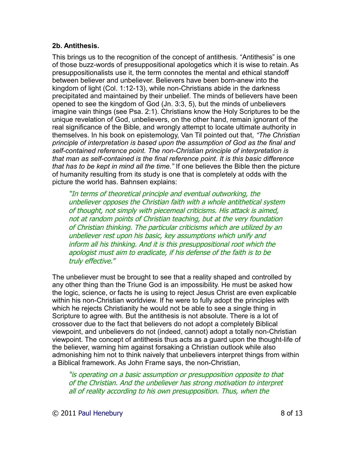#### **2b. Antithesis.**

This brings us to the recognition of the concept of antithesis. "Antithesis" is one of those buzz-words of presuppositional apologetics which it is wise to retain. As presuppositionalists use it, the term connotes the mental and ethical standoff between believer and unbeliever. Believers have been born-anew into the kingdom of light (Col. 1:12-13), while non-Christians abide in the darkness precipitated and maintained by their unbelief. The minds of believers have been opened to see the kingdom of God (Jn. 3:3, 5), but the minds of unbelievers imagine vain things (see Psa. 2:1). Christians know the Holy Scriptures to be the unique revelation of God, unbelievers, on the other hand, remain ignorant of the real significance of the Bible, and wrongly attempt to locate ultimate authority in themselves. In his book on epistemology, Van Til pointed out that, *"The Christian principle of interpretation is based upon the assumption of God as the final and self-contained reference point. The non-Christian principle of interpretation is that man as self-contained is the final reference point. It is this basic difference that has to be kept in mind all the time."* If one believes the Bible then the picture of humanity resulting from its study is one that is completely at odds with the picture the world has. Bahnsen explains:

"In terms of theoretical principle and eventual outworking, the unbeliever opposes the Christian faith with a whole antithetical system of thought, not simply with piecemeal criticisms. His attack is aimed, not at random points of Christian teaching, but at the very foundation of Christian thinking. The particular criticisms which are utilized by an unbeliever rest upon his basic, key assumptions which unify and inform all his thinking. And it is this presuppositional root which the apologist must aim to eradicate, if his defense of the faith is to be truly effective."

The unbeliever must be brought to see that a reality shaped and controlled by any other thing than the Triune God is an impossibility. He must be asked how the logic, science, or facts he is using to reject Jesus Christ are even explicable within his non-Christian worldview. If he were to fully adopt the principles with which he rejects Christianity he would not be able to see a single thing in Scripture to agree with. But the antithesis is not absolute. There is a lot of crossover due to the fact that believers do not adopt a completely Biblical viewpoint, and unbelievers do not (indeed, cannot) adopt a totally non-Christian viewpoint. The concept of antithesis thus acts as a guard upon the thought-life of the believer, warning him against forsaking a Christian outlook while also admonishing him not to think naively that unbelievers interpret things from within a Biblical framework. As John Frame says, the non-Christian,

"is operating on a basic assumption or presupposition opposite to that of the Christian. And the unbeliever has strong motivation to interpret all of reality according to his own presupposition. Thus, when the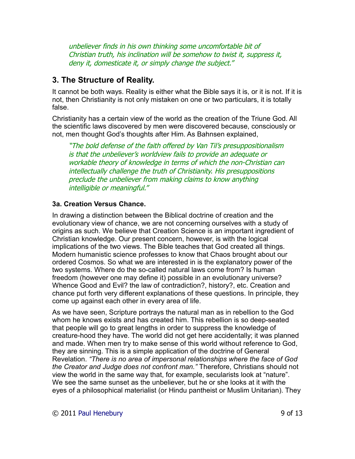unbeliever finds in his own thinking some uncomfortable bit of Christian truth, his inclination will be somehow to twist it, suppress it, deny it, domesticate it, or simply change the subject."

### **3. The Structure of Reality.**

It cannot be both ways. Reality is either what the Bible says it is, or it is not. If it is not, then Christianity is not only mistaken on one or two particulars, it is totally false.

Christianity has a certain view of the world as the creation of the Triune God. All the scientific laws discovered by men were discovered because, consciously or not, men thought God's thoughts after Him. As Bahnsen explained,

"The bold defense of the faith offered by Van Til's presuppositionalism is that the unbeliever's worldview fails to provide an adequate or workable theory of knowledge in terms of which the non-Christian can intellectually challenge the truth of Christianity. His presuppositions preclude the unbeliever from making claims to know anything intelligible or meaningful."

### **3a. Creation Versus Chance.**

In drawing a distinction between the Biblical doctrine of creation and the evolutionary view of chance, we are not concerning ourselves with a study of origins as such. We believe that Creation Science is an important ingredient of Christian knowledge. Our present concern, however, is with the logical implications of the two views. The Bible teaches that God created all things. Modern humanistic science professes to know that Chaos brought about our ordered Cosmos. So what we are interested in is the explanatory power of the two systems. Where do the so-called natural laws come from? Is human freedom (however one may define it) possible in an evolutionary universe? Whence Good and Evil? the law of contradiction?, history?, etc. Creation and chance put forth very different explanations of these questions. In principle, they come up against each other in every area of life.

As we have seen, Scripture portrays the natural man as in rebellion to the God whom he knows exists and has created him. This rebellion is so deep-seated that people will go to great lengths in order to suppress the knowledge of creature-hood they have. The world did not get here accidentally; it was planned and made. When men try to make sense of this world without reference to God, they are sinning. This is a simple application of the doctrine of General Revelation. *"There is no area of impersonal relationships where the face of God the Creator and Judge does not confront man."* Therefore, Christians should not view the world in the same way that, for example, secularists look at "nature". We see the same sunset as the unbeliever, but he or she looks at it with the eyes of a philosophical materialist (or Hindu pantheist or Muslim Unitarian). They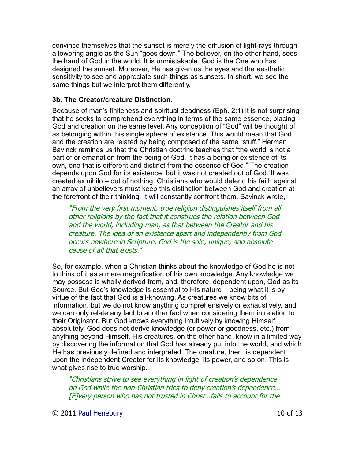convince themselves that the sunset is merely the diffusion of light-rays through a lowering angle as the Sun "goes down." The believer, on the other hand, sees the hand of God in the world. It is unmistakable. God is the One who has designed the sunset. Moreover, He has given us the eyes and the aesthetic sensitivity to see and appreciate such things as sunsets. In short, we see the same things but we interpret them differently.

#### **3b. The Creator/creature Distinction.**

Because of man's finiteness and spiritual deadness (Eph. 2:1) it is not surprising that he seeks to comprehend everything in terms of the same essence, placing God and creation on the same level. Any conception of "God" will be thought of as belonging within this single sphere of existence. This would mean that God and the creation are related by being composed of the same "stuff." Herman Bavinck reminds us that the Christian doctrine teaches that "the world is not a part of or emanation from the being of God. It has a being or existence of its own, one that is different and distinct from the essence of God." The creation depends upon God for its existence, but it was not created out of God. It was created ex nihilo – out of nothing. Christians who would defend his faith against an array of unbelievers must keep this distinction between God and creation at the forefront of their thinking. It will constantly confront them. Bavinck wrote,

"From the very first moment, true religion distinguishes itself from all other religions by the fact that it construes the relation between God and the world, including man, as that between the Creator and his creature. The idea of an existence apart and independently from God occurs nowhere in Scripture. God is the sole, unique, and absolute cause of all that exists."

So, for example, when a Christian thinks about the knowledge of God he is not to think of it as a mere magnification of his own knowledge. Any knowledge we may possess is wholly derived from, and, therefore, dependent upon, God as its Source. But God's knowledge is essential to His nature – being what it is by virtue of the fact that God is all-knowing. As creatures we know bits of information, but we do not know anything comprehensively or exhaustively, and we can only relate any fact to another fact when considering them in relation to their Originator. But God knows everything intuitively by knowing Himself absolutely. God does not derive knowledge (or power or goodness, etc.) from anything beyond Himself. His creatures, on the other hand, know in a limited way by discovering the information that God has already put into the world, and which He has previously defined and interpreted. The creature, then, is dependent upon the independent Creator for its knowledge, its power, and so on. This is what gives rise to true worship.

"Christians strive to see everything in light of creation's dependence on God while the non-Christian tries to deny creation's dependence… [E]very person who has not trusted in Christ…fails to account for the

© 2011 [Paul Henebury](http://www.spiritandtruth.org/id/ph.htm) 10 of 13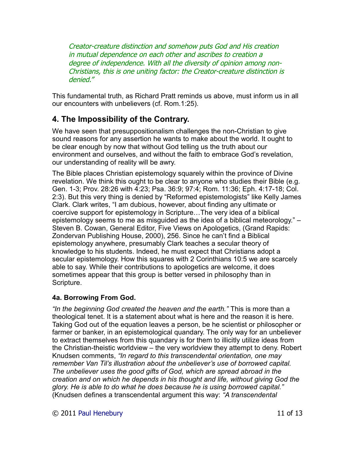Creator-creature distinction and somehow puts God and His creation in mutual dependence on each other and ascribes to creation a degree of independence. With all the diversity of opinion among non-Christians, this is one uniting factor: the Creator-creature distinction is denied."

This fundamental truth, as Richard Pratt reminds us above, must inform us in all our encounters with unbelievers (cf. Rom.1:25).

# **4. The Impossibility of the Contrary.**

We have seen that presuppositionalism challenges the non-Christian to give sound reasons for any assertion he wants to make about the world. It ought to be clear enough by now that without God telling us the truth about our environment and ourselves, and without the faith to embrace God's revelation, our understanding of reality will be awry.

The Bible places Christian epistemology squarely within the province of Divine revelation. We think this ought to be clear to anyone who studies their Bible (e.g. Gen. 1-3; Prov. 28:26 with 4:23; Psa. 36:9; 97:4; Rom. 11:36; Eph. 4:17-18; Col. 2:3). But this very thing is denied by "Reformed epistemologists" like Kelly James Clark. Clark writes, "I am dubious, however, about finding any ultimate or coercive support for epistemology in Scripture…The very idea of a biblical epistemology seems to me as misguided as the idea of a biblical meteorology." – Steven B. Cowan, General Editor, Five Views on Apologetics, (Grand Rapids: Zondervan Publishing House, 2000), 256. Since he can't find a Biblical epistemology anywhere, presumably Clark teaches a secular theory of knowledge to his students. Indeed, he must expect that Christians adopt a secular epistemology. How this squares with 2 Corinthians 10:5 we are scarcely able to say. While their contributions to apologetics are welcome, it does sometimes appear that this group is better versed in philosophy than in Scripture.

#### **4a. Borrowing From God.**

*"In the beginning God created the heaven and the earth."* This is more than a theological tenet. It is a statement about what is here and the reason it is here. Taking God out of the equation leaves a person, be he scientist or philosopher or farmer or banker, in an epistemological quandary. The only way for an unbeliever to extract themselves from this quandary is for them to illicitly utilize ideas from the Christian-theistic worldview – the very worldview they attempt to deny. Robert Knudsen comments, *"In regard to this transcendental orientation, one may remember Van Til's illustration about the unbeliever's use of borrowed capital. The unbeliever uses the good gifts of God, which are spread abroad in the creation and on which he depends in his thought and life, without giving God the glory. He is able to do what he does because he is using borrowed capital."* (Knudsen defines a transcendental argument this way: *"A transcendental*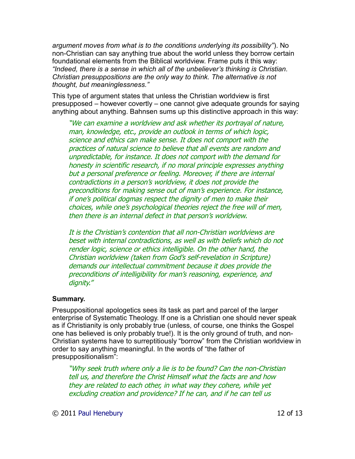*argument moves from what is to the conditions underlying its possibility"*). No non-Christian can say anything true about the world unless they borrow certain foundational elements from the Biblical worldview. Frame puts it this way: *"Indeed, there is a sense in which all of the unbeliever's thinking is Christian. Christian presuppositions are the only way to think. The alternative is not thought, but meaninglessness."* 

This type of argument states that unless the Christian worldview is first presupposed – however covertly – one cannot give adequate grounds for saying anything about anything. Bahnsen sums up this distinctive approach in this way:

"We can examine a worldview and ask whether its portrayal of nature, man, knowledge, etc., provide an outlook in terms of which logic, science and ethics can make sense. It does not comport with the practices of natural science to believe that all events are random and unpredictable, for instance. It does not comport with the demand for honesty in scientific research, if no moral principle expresses anything but a personal preference or feeling. Moreover, if there are internal contradictions in a person's worldview, it does not provide the preconditions for making sense out of man's experience. For instance, if one's political dogmas respect the dignity of men to make their choices, while one's psychological theories reject the free will of men, then there is an internal defect in that person's worldview.

It is the Christian's contention that all non-Christian worldviews are beset with internal contradictions, as well as with beliefs which do not render logic, science or ethics intelligible. On the other hand, the Christian worldview (taken from God's self-revelation in Scripture) demands our intellectual commitment because it does provide the preconditions of intelligibility for man's reasoning, experience, and dignity."

#### **Summary.**

Presuppositional apologetics sees its task as part and parcel of the larger enterprise of Systematic Theology. If one is a Christian one should never speak as if Christianity is only probably true (unless, of course, one thinks the Gospel one has believed is only probably true!). It is the only ground of truth, and non-Christian systems have to surreptitiously "borrow" from the Christian worldview in order to say anything meaningful. In the words of "the father of presuppositionalism":

"Why seek truth where only a lie is to be found? Can the non-Christian tell us, and therefore the Christ Himself what the facts are and how they are related to each other, in what way they cohere, while yet excluding creation and providence? If he can, and if he can tell us